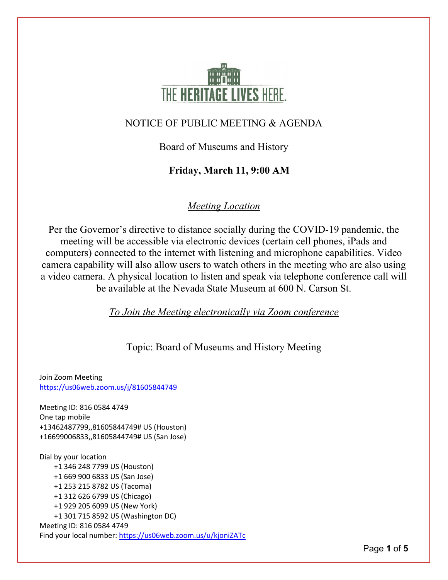

#### NOTICE OF PUBLIC MEETING & AGENDA

Board of Museums and History

### **Friday, March 11, 9:00 AM**

### *Meeting Location*

Per the Governor's directive to distance socially during the COVID-19 pandemic, the meeting will be accessible via electronic devices (certain cell phones, iPads and computers) connected to the internet with listening and microphone capabilities. Video camera capability will also allow users to watch others in the meeting who are also using a video camera. A physical location to listen and speak via telephone conference call will be available at the Nevada State Museum at 600 N. Carson St.

*To Join the Meeting electronically via Zoom conference*

Topic: Board of Museums and History Meeting

Join Zoom Meeting <https://us06web.zoom.us/j/81605844749>

Meeting ID: 816 0584 4749 One tap mobile +13462487799,,81605844749# US (Houston) +16699006833,,81605844749# US (San Jose)

Dial by your location +1 346 248 7799 US (Houston) +1 669 900 6833 US (San Jose) +1 253 215 8782 US (Tacoma) +1 312 626 6799 US (Chicago) +1 929 205 6099 US (New York) +1 301 715 8592 US (Washington DC) Meeting ID: 816 0584 4749 Find your local number[: https://us06web.zoom.us/u/kjoniZATc](https://us06web.zoom.us/u/kjoniZATc)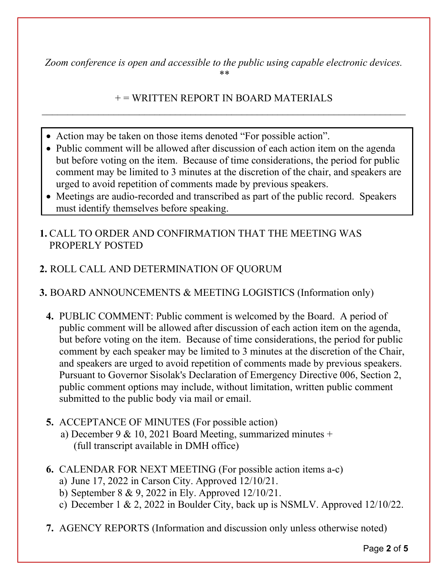*Zoom conference is open and accessible to the public using capable electronic devices. \*\**

### $+=$  WRITTEN REPORT IN BOARD MATERIALS  $\_$  , and the contribution of the contribution of  $\mathcal{L}_1$  , and  $\mathcal{L}_2$  , and  $\mathcal{L}_3$  , and  $\mathcal{L}_4$  , and  $\mathcal{L}_5$  , and  $\mathcal{L}_6$  , and  $\mathcal{L}_7$  , and  $\mathcal{L}_8$  , and  $\mathcal{L}_7$  , and  $\mathcal{L}_8$  , and  $\mathcal{L}_9$  ,

- Action may be taken on those items denoted "For possible action".
- Public comment will be allowed after discussion of each action item on the agenda but before voting on the item. Because of time considerations, the period for public comment may be limited to 3 minutes at the discretion of the chair, and speakers are urged to avoid repetition of comments made by previous speakers.
- Meetings are audio-recorded and transcribed as part of the public record. Speakers must identify themselves before speaking.
- **1.** CALL TO ORDER AND CONFIRMATION THAT THE MEETING WAS PROPERLY POSTED
- **2.** ROLL CALL AND DETERMINATION OF QUORUM

## **3.** BOARD ANNOUNCEMENTS & MEETING LOGISTICS (Information only)

- **4.** PUBLIC COMMENT: Public comment is welcomed by the Board. A period of public comment will be allowed after discussion of each action item on the agenda, but before voting on the item. Because of time considerations, the period for public comment by each speaker may be limited to 3 minutes at the discretion of the Chair, and speakers are urged to avoid repetition of comments made by previous speakers. Pursuant to Governor Sisolak's Declaration of Emergency Directive 006, Section 2, public comment options may include, without limitation, written public comment submitted to the public body via mail or email.
- **5.** ACCEPTANCE OF MINUTES (For possible action) a) December 9 & 10, 2021 Board Meeting, summarized minutes + (full transcript available in DMH office)
- **6.** CALENDAR FOR NEXT MEETING (For possible action items a-c)
	- a) June 17, 2022 in Carson City. Approved 12/10/21.
	- b) September 8 & 9, 2022 in Ely. Approved 12/10/21.
	- c) December 1 & 2, 2022 in Boulder City, back up is NSMLV. Approved 12/10/22.
- **7.** AGENCY REPORTS (Information and discussion only unless otherwise noted)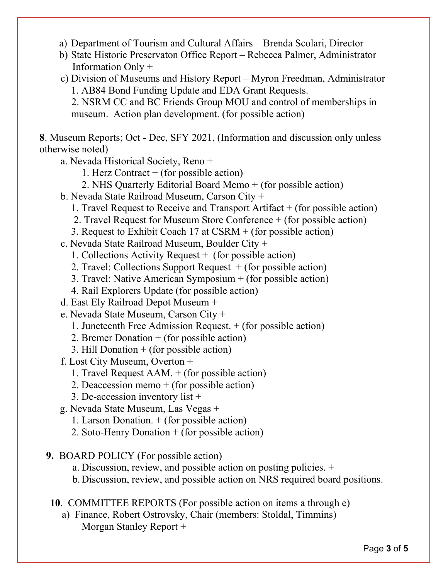- a) Department of Tourism and Cultural Affairs Brenda Scolari, Director
- b) State Historic Preservaton Office Report Rebecca Palmer, Administrator Information Only +
- c) Division of Museums and History Report Myron Freedman, Administrator 1. AB84 Bond Funding Update and EDA Grant Requests.

2. NSRM CC and BC Friends Group MOU and control of memberships in museum. Action plan development. (for possible action)

**8**. Museum Reports; Oct - Dec, SFY 2021, (Information and discussion only unless otherwise noted)

a. Nevada Historical Society, Reno +

- 1. Herz Contract  $+$  (for possible action)
- 2. NHS Quarterly Editorial Board Memo + (for possible action)
- b. Nevada State Railroad Museum, Carson City +
	- 1. Travel Request to Receive and Transport Artifact + (for possible action)
	- 2. Travel Request for Museum Store Conference + (for possible action)
	- 3. Request to Exhibit Coach 17 at CSRM + (for possible action)

c. Nevada State Railroad Museum, Boulder City +

- 1. Collections Activity Request + (for possible action)
- 2. Travel: Collections Support Request  $+$  (for possible action)
- 3. Travel: Native American Symposium + (for possible action)
- 4. Rail Explorers Update (for possible action)
- d. East Ely Railroad Depot Museum +
- e. Nevada State Museum, Carson City +
	- 1. Juneteenth Free Admission Request. + (for possible action)
	- 2. Bremer Donation + (for possible action)
	- 3. Hill Donation + (for possible action)
- f. Lost City Museum, Overton +
	- 1. Travel Request AAM. + (for possible action)
	- 2. Deaccession memo  $+$  (for possible action)
	- 3. De-accession inventory list +
- g. Nevada State Museum, Las Vegas +
	- 1. Larson Donation. + (for possible action)
	- 2. Soto-Henry Donation + (for possible action)
- **9.** BOARD POLICY (For possible action)
	- a. Discussion, review, and possible action on posting policies. +
	- b.Discussion, review, and possible action on NRS required board positions.
- **10**. COMMITTEE REPORTS (For possible action on items a through e)
	- a) Finance, Robert Ostrovsky, Chair (members: Stoldal, Timmins) Morgan Stanley Report +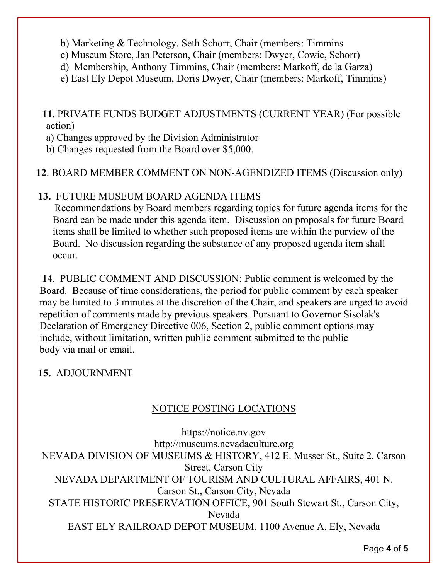- b) Marketing & Technology, Seth Schorr, Chair (members: Timmins
- c) Museum Store, Jan Peterson, Chair (members: Dwyer, Cowie, Schorr)
- d) Membership, Anthony Timmins, Chair (members: Markoff, de la Garza)
- e) East Ely Depot Museum, Doris Dwyer, Chair (members: Markoff, Timmins)

# **11**. PRIVATE FUNDS BUDGET ADJUSTMENTS (CURRENT YEAR) (For possible action)

- a) Changes approved by the Division Administrator
- b) Changes requested from the Board over \$5,000.

## **12**. BOARD MEMBER COMMENT ON NON-AGENDIZED ITEMS (Discussion only)

# **13.** FUTURE MUSEUM BOARD AGENDA ITEMS

 Recommendations by Board members regarding topics for future agenda items for the Board can be made under this agenda item. Discussion on proposals for future Board items shall be limited to whether such proposed items are within the purview of the Board. No discussion regarding the substance of any proposed agenda item shall occur.

**14**. PUBLIC COMMENT AND DISCUSSION: Public comment is welcomed by the Board. Because of time considerations, the period for public comment by each speaker may be limited to 3 minutes at the discretion of the Chair, and speakers are urged to avoid repetition of comments made by previous speakers. Pursuant to Governor Sisolak's Declaration of Emergency Directive 006, Section 2, public comment options may include, without limitation, written public comment submitted to the public body via mail or email.

## **15.** ADJOURNMENT

# NOTICE POSTING LOCATIONS

[https://notice.nv.gov](http://notice.nv.gov/) [http://museums.nevadaculture.org](http://museums.nevadaculture.org/) NEVADA DIVISION OF MUSEUMS & HISTORY, 412 E. Musser St., Suite 2. Carson Street, Carson City NEVADA DEPARTMENT OF TOURISM AND CULTURAL AFFAIRS, 401 N. Carson St., Carson City, Nevada STATE HISTORIC PRESERVATION OFFICE, 901 South Stewart St., Carson City, Nevada EAST ELY RAILROAD DEPOT MUSEUM, 1100 Avenue A, Ely, Nevada

Page **4** of **5**